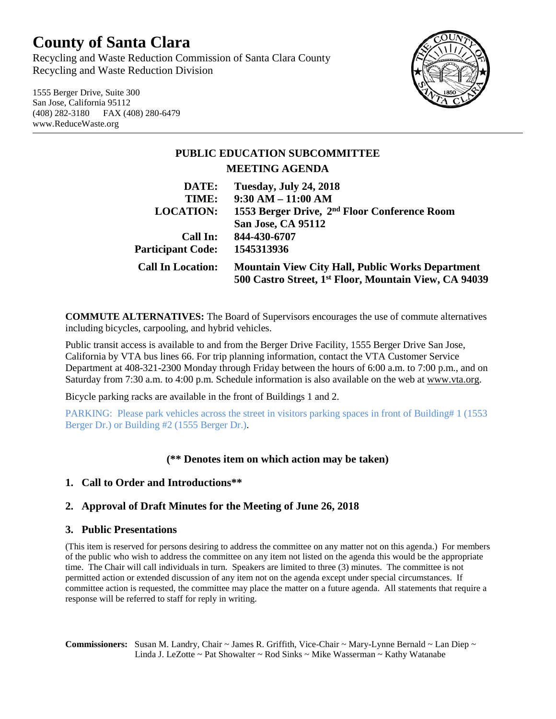# **County of Santa Clara**

Recycling and Waste Reduction Commission of Santa Clara County Recycling and Waste Reduction Division

1555 Berger Drive, Suite 300 San Jose, California 95112 (408) 282-3180 FAX (408) 280-6479 www.ReduceWaste.org



## **PUBLIC EDUCATION SUBCOMMITTEE MEETING AGENDA**

| DATE:                    | <b>Tuesday, July 24, 2018</b>                            |
|--------------------------|----------------------------------------------------------|
| TIME:                    | $9:30 AM - 11:00 AM$                                     |
| <b>LOCATION:</b>         | 1553 Berger Drive, 2 <sup>nd</sup> Floor Conference Room |
|                          | <b>San Jose, CA 95112</b>                                |
| Call In:                 | 844-430-6707                                             |
| <b>Participant Code:</b> | 1545313936                                               |
| <b>Call In Location:</b> | <b>Mountain View City Hall, Public Works Department</b>  |
|                          | 500 Castro Street, 1st Floor, Mountain View, CA 94039    |

**COMMUTE ALTERNATIVES:** The Board of Supervisors encourages the use of commute alternatives including bicycles, carpooling, and hybrid vehicles.

Public transit access is available to and from the Berger Drive Facility, 1555 Berger Drive San Jose, California by VTA bus lines 66. For trip planning information, contact the VTA Customer Service Department at 408-321-2300 Monday through Friday between the hours of 6:00 a.m. to 7:00 p.m., and on Saturday from 7:30 a.m. to 4:00 p.m. Schedule information is also available on the web at [www.vta.org.](http://www.vta.org/)

Bicycle parking racks are available in the front of Buildings 1 and 2.

PARKING: Please park vehicles across the street in visitors parking spaces in front of Building# 1 (1553 Berger Dr.) or Building #2 (1555 Berger Dr.).

### **(\*\* Denotes item on which action may be taken)**

### **1. Call to Order and Introductions\*\***

### **2. Approval of Draft Minutes for the Meeting of June 26, 2018**

#### **3. Public Presentations**

(This item is reserved for persons desiring to address the committee on any matter not on this agenda.) For members of the public who wish to address the committee on any item not listed on the agenda this would be the appropriate time. The Chair will call individuals in turn. Speakers are limited to three (3) minutes. The committee is not permitted action or extended discussion of any item not on the agenda except under special circumstances. If committee action is requested, the committee may place the matter on a future agenda. All statements that require a response will be referred to staff for reply in writing.

**Commissioners:** Susan M. Landry, Chair ~ James R. Griffith, Vice-Chair ~ Mary-Lynne Bernald ~ Lan Diep ~ Linda J. LeZotte ~ Pat Showalter ~ Rod Sinks ~ Mike Wasserman ~ Kathy Watanabe